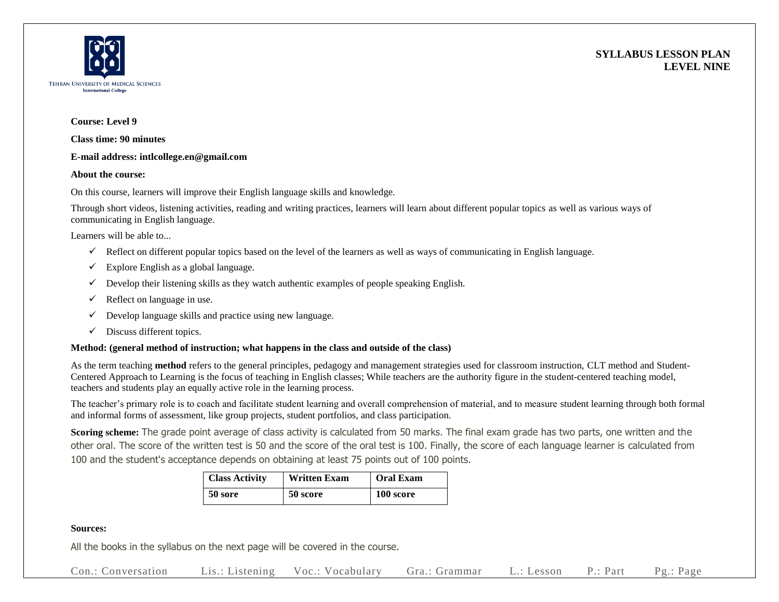



# **Course: Level 9**

**Class time: 90 minutes**

### **E-mail address: intlcollege.en@gmail.com**

### **About the course:**

On this course, learners will improve their English language skills and knowledge.

Through short videos, listening activities, reading and writing practices, learners will learn about different popular topics as well as various ways of communicating in English language.

Learners will be able to...

- $\checkmark$  Reflect on different popular topics based on the level of the learners as well as ways of communicating in English language.
- $\checkmark$  Explore English as a global language.
- $\checkmark$  Develop their listening skills as they watch authentic examples of people speaking English.
- $\checkmark$  Reflect on language in use.
- $\checkmark$  Develop language skills and practice using new language.
- $\checkmark$  Discuss different topics.

# **Method: (general method of instruction; what happens in the class and outside of the class)**

As the term teaching **method** refers to the general principles, pedagogy and management strategies used for classroom instruction, CLT method and Student-Centered Approach to Learning is the focus of teaching in English classes; While teachers are the authority figure in the student-centered teaching model, teachers and students play an equally active role in the learning process.

The teacher's primary role is to coach and facilitate student learning and overall comprehension of material, and to measure student learning through both formal and informal forms of assessment, like group projects, student portfolios, and class participation.

**Scoring scheme:** The grade point average of class activity is calculated from 50 marks. The final exam grade has two parts, one written and the other oral. The score of the written test is 50 and the score of the oral test is 100. Finally, the score of each language learner is calculated from 100 and the student's acceptance depends on obtaining at least 75 points out of 100 points.

| <b>Class Activity</b> | <b>Written Exam</b> | <b>Oral Exam</b> |
|-----------------------|---------------------|------------------|
| 50 sore               | 50 score            | 100 score        |

# **Sources:**

All the books in the syllabus on the next page will be covered in the course.

Con.: Conversation Lis.: Listening Voc.: Vocabulary Gra.: Grammar L.: Lesson P.: Part Pg.: Page